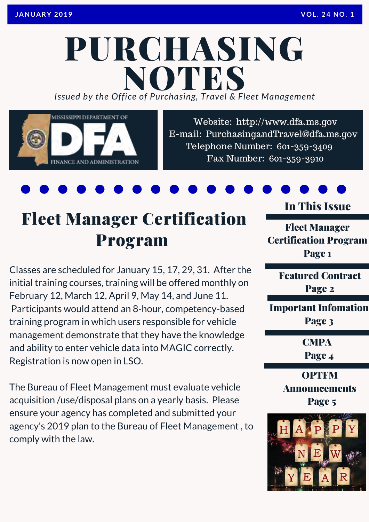## PURCHASING *Issued by the Office of Purchasing, Travel & Fleet Management* **NOTES**



Website: http://www.dfa.ms.gov [E-mail: PurchasingandTravel@dfa.ms.gov](http://www.dfa.ms.gov/)  Telephone Number: 601-359-3409 Fax Number: 601-359-3910

## Fleet Manager Certification Program

Classes are scheduled for January 15, 17, 29, 31. After the initial training courses, training will be offered monthly on February 12, March 12, April 9, May 14, and June 11. Participants would attend an 8-hour, competency-based training program in which users responsible for vehicle management demonstrate that they have the knowledge and ability to enter vehicle data into MAGIC correctly. Registration is now open in LSO.

The Bureau of Fleet Management must evaluate vehicle acquisition /use/disposal plans on a yearly basis. Please ensure your agency has completed and submitted your agency's 2019 plan to the Bureau of Fleet Management , to comply with the law.

In This Issue

Fleet Manager Certification Program Page 1

> Featured Contract Page 2

Important Infomation Page 3

**CMPA** 

Page 4

**OPTFM** Announcements Page 5

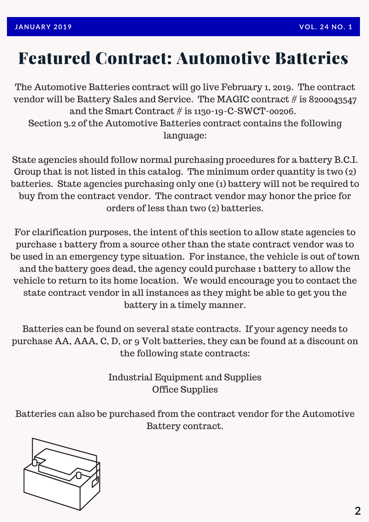### Featured Contract: Automotive Batteries

The Automotive Batteries contract will go live February 1, 2019. The contract vendor will be Battery Sales and Service. The MAGIC contract # is 8200043547 and the Smart Contract # is 1130-19-C-SWCT-00206. Section 3.2 of the Automotive Batteries contract contains the following language:

State agencies should follow normal purchasing procedures for a battery B.C.I. Group that is not listed in this catalog. The minimum order quantity is two (2) batteries. State agencies purchasing only one (1) battery will not be required to buy from the contract vendor. The contract vendor may honor the price for orders of less than two (2) batteries.

For clarification purposes, the intent of this section to allow state agencies to purchase 1 battery from a source other than the state contract vendor was to be used in an emergency type situation. For instance, the vehicle is out of town and the battery goes dead, the agency could purchase 1 battery to allow the vehicle to return to its home location. We would encourage you to contact the state contract vendor in all instances as they might be able to get you the battery in a timely manner.

Batteries can be found on several state contracts. If your agency needs to purchase AA, AAA, C, D, or 9 Volt batteries, they can be found at a discount on the following state contracts:

> Industrial Equipment and Supplies Office Supplies

Batteries can also be purchased from the contract vendor for the Automotive Battery contract.

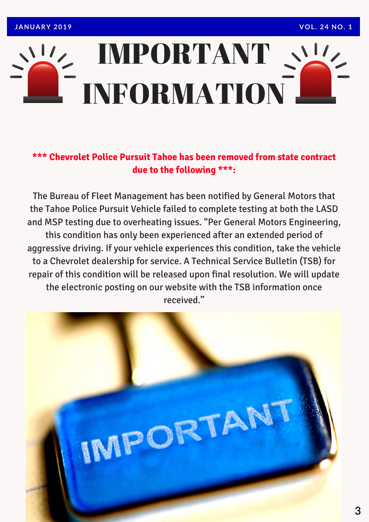## IMPORTANT INFORMATION

#### **\*\*\* Chevrolet Police Pursuit Tahoe has been removed from state contract due to the following \*\*\*:**

The Bureau of Fleet Management has been notified by General Motors that the Tahoe Police Pursuit Vehicle failed to complete testing at both the LASD and MSP testing due to overheating issues. "Per General Motors Engineering, this condition has only been experienced after an extended period of aggressive driving. If your vehicle experiences this condition, take the vehicle to a Chevrolet dealership for service. A Technical Service Bulletin (TSB) for repair of this condition will be released upon final resolution. We will update the electronic posting on our website with the TSB information once received."

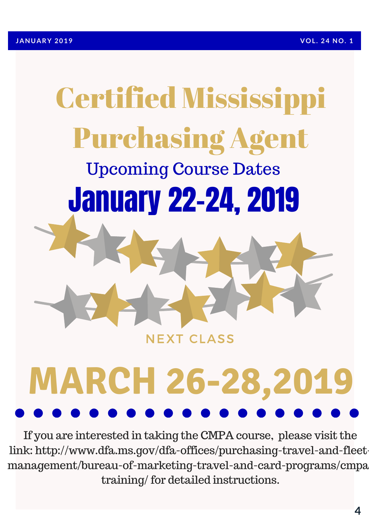# Certified Mississippi Purchasing Agent Upcoming Course Dates January 22-24, 2019 **NEXT CLASS**

# **MARCH 26-28,2019**

If you are interested in taking the CMPA course, please visit the link: http://www.dfa.ms.gov/dfa-offices/purchasing-travel-and-fleet[management/bureau-of-marketing-travel-and-card-programs/cmpa](http://www.dfa.ms.gov/dfa-offices/purchasing-travel-and-fleet-management/bureau-of-marketing-travel-and-card-programs/cmpa-training/) training/ for detailed instructions.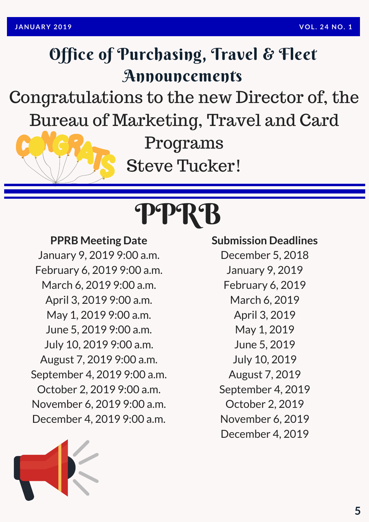## Office of Purchasing, Travel & Fleet Announcements

Congratulations to the new Director of, the Bureau of Marketing, Travel and Card

Programs

Steve Tucker!

## PPRB

#### **PPRB Meeting Date**

January 9, 2019 9:00 a.m. February 6, 2019 9:00 a.m. March 6, 2019 9:00 a.m. April 3, 2019 9:00 a.m. May 1, 2019 9:00 a.m. June 5, 2019 9:00 a.m. July 10, 2019 9:00 a.m. August 7, 2019 9:00 a.m. September 4, 2019 9:00 a.m. October 2, 2019 9:00 a.m. November 6, 2019 9:00 a.m. December 4, 2019 9:00 a.m.

### **Submission Deadlines**

December 5, 2018 January 9, 2019 February 6, 2019 March 6, 2019 April 3, 2019 May 1, 2019 June 5, 2019 July 10, 2019 August 7, 2019 September 4, 2019 October 2, 2019 November 6, 2019 December 4, 2019